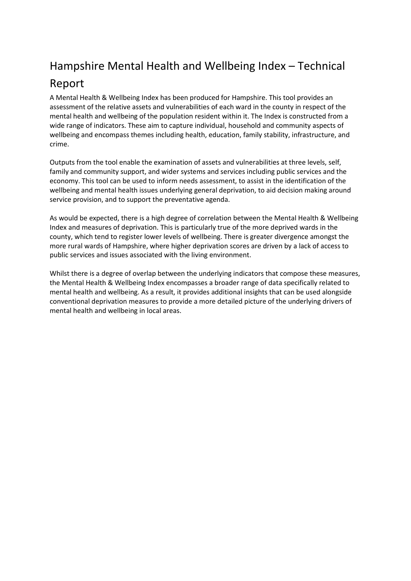# Hampshire Mental Health and Wellbeing Index – Technical

# Report

A Mental Health & Wellbeing Index has been produced for Hampshire. This tool provides an assessment of the relative assets and vulnerabilities of each ward in the county in respect of the mental health and wellbeing of the population resident within it. The Index is constructed from a wide range of indicators. These aim to capture individual, household and community aspects of wellbeing and encompass themes including health, education, family stability, infrastructure, and crime.

Outputs from the tool enable the examination of assets and vulnerabilities at three levels, self, family and community support, and wider systems and services including public services and the economy. This tool can be used to inform needs assessment, to assist in the identification of the wellbeing and mental health issues underlying general deprivation, to aid decision making around service provision, and to support the preventative agenda.

As would be expected, there is a high degree of correlation between the Mental Health & Wellbeing Index and measures of deprivation. This is particularly true of the more deprived wards in the county, which tend to register lower levels of wellbeing. There is greater divergence amongst the more rural wards of Hampshire, where higher deprivation scores are driven by a lack of access to public services and issues associated with the living environment.

Whilst there is a degree of overlap between the underlying indicators that compose these measures, the Mental Health & Wellbeing Index encompasses a broader range of data specifically related to mental health and wellbeing. As a result, it provides additional insights that can be used alongside conventional deprivation measures to provide a more detailed picture of the underlying drivers of mental health and wellbeing in local areas.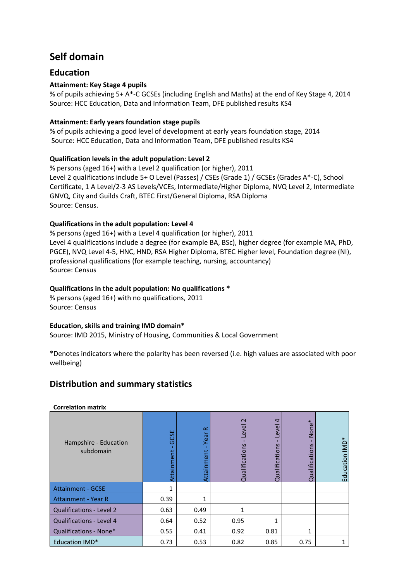## **Self domain**

## **Education**

### **Attainment: Key Stage 4 pupils**

% of pupils achieving 5+ A\*-C GCSEs (including English and Maths) at the end of Key Stage 4, 2014 Source: HCC Education, Data and Information Team, DFE published results KS4

#### **Attainment: Early years foundation stage pupils**

% of pupils achieving a good level of development at early years foundation stage, 2014 Source: HCC Education, Data and Information Team, DFE published results KS4

### **Qualification levels in the adult population: Level 2**

% persons (aged 16+) with a Level 2 qualification (or higher), 2011 Level 2 qualifications include 5+ O Level (Passes) / CSEs (Grade 1) / GCSEs (Grades A\*-C), School Certificate, 1 A Level/2-3 AS Levels/VCEs, Intermediate/Higher Diploma, NVQ Level 2, Intermediate GNVQ, City and Guilds Craft, BTEC First/General Diploma, RSA Diploma Source: Census.

#### **Qualifications in the adult population: Level 4**

% persons (aged 16+) with a Level 4 qualification (or higher), 2011 Level 4 qualifications include a degree (for example BA, BSc), higher degree (for example MA, PhD, PGCE), NVQ Level 4-5, HNC, HND, RSA Higher Diploma, BTEC Higher level, Foundation degree (NI), professional qualifications (for example teaching, nursing, accountancy) Source: Census

#### **Qualifications in the adult population: No qualifications \***

% persons (aged 16+) with no qualifications, 2011 Source: Census

#### **Education, skills and training IMD domain\***

Source: IMD 2015, Ministry of Housing, Communities & Local Government

\*Denotes indicators where the polarity has been reversed (i.e. high values are associated with poor wellbeing)

## **Distribution and summary statistics**

| www.charles in the control         |                                   |                                 |                                  |                                          |                               |                            |
|------------------------------------|-----------------------------------|---------------------------------|----------------------------------|------------------------------------------|-------------------------------|----------------------------|
| Hampshire - Education<br>subdomain | ш<br>ပ္ပ<br>$\circ$<br>Attainment | $\propto$<br>Year<br>Attainment | $\sim$<br>evel<br>Qualifications | $\overline{a}$<br>evel<br>Qualifications | None*<br>S<br>alificatio<br>ā | Education IMD <sup>*</sup> |
| <b>Attainment - GCSE</b>           | 1                                 |                                 |                                  |                                          |                               |                            |
| <b>Attainment - Year R</b>         | 0.39                              | 1                               |                                  |                                          |                               |                            |
| Qualifications - Level 2           | 0.63                              | 0.49                            | 1                                |                                          |                               |                            |
| <b>Qualifications - Level 4</b>    | 0.64                              | 0.52                            | 0.95                             | 1                                        |                               |                            |
| Qualifications - None*             | 0.55                              | 0.41                            | 0.92                             | 0.81                                     | 1                             |                            |
| <b>Education IMD*</b>              | 0.73                              | 0.53                            | 0.82                             | 0.85                                     | 0.75                          |                            |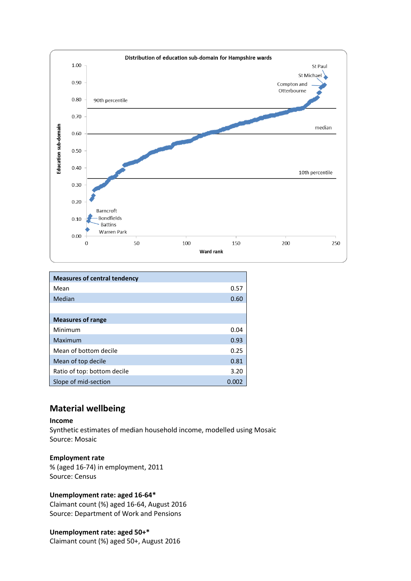

| <b>Measures of central tendency</b> |       |
|-------------------------------------|-------|
| Mean                                | 0.57  |
| Median                              | 0.60  |
|                                     |       |
| <b>Measures of range</b>            |       |
| Minimum                             | 0.04  |
| Maximum                             | 0.93  |
| Mean of bottom decile               | 0.25  |
| Mean of top decile                  | 0.81  |
| Ratio of top: bottom decile         | 3.20  |
| Slope of mid-section                | 0.002 |

## **Material wellbeing**

#### **Income**

Synthetic estimates of median household income, modelled using Mosaic Source: Mosaic

#### **Employment rate**

% (aged 16-74) in employment, 2011 Source: Census

#### **Unemployment rate: aged 16-64\***

Claimant count (%) aged 16-64, August 2016 Source: Department of Work and Pensions

### **Unemployment rate: aged 50+\***

Claimant count (%) aged 50+, August 2016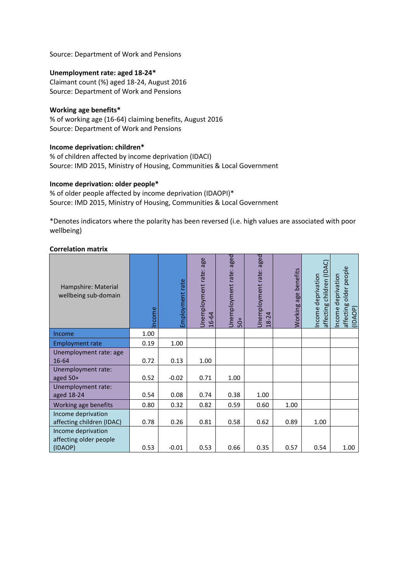Source: Department of Work and Pensions

#### **Unemployment rate: aged 18-24\***

Claimant count (%) aged 18-24, August 2016 Source: Department of Work and Pensions

#### **Working age benefits\***

% of working age (16-64) claiming benefits, August 2016 Source: Department of Work and Pensions

#### **Income deprivation: children\***

% of children affected by income deprivation (IDACI) Source: IMD 2015, Ministry of Housing, Communities & Local Government

#### **Income deprivation: older people\***

% of older people affected by income deprivation (IDAOPI)\* Source: IMD 2015, Ministry of Housing, Communities & Local Government

\*Denotes indicators where the polarity has been reversed (i.e. high values are associated with poor wellbeing)

| Hampshire: Material<br>wellbeing sub-domain     | ncome | Employment rate | age<br>Jnemployment rate<br>16-64 | Jnemployment rate: aged<br>$50+$ | aged<br>Unemployment rate:<br>$\overline{24}$<br>$\frac{8}{3}$ | benefits<br>age<br>Working | affecting children (IDAC)<br>Income deprivation | affecting older people<br>(IDAOP)<br>ncome deprivation |
|-------------------------------------------------|-------|-----------------|-----------------------------------|----------------------------------|----------------------------------------------------------------|----------------------------|-------------------------------------------------|--------------------------------------------------------|
| Income                                          | 1.00  |                 |                                   |                                  |                                                                |                            |                                                 |                                                        |
| <b>Employment rate</b>                          | 0.19  | 1.00            |                                   |                                  |                                                                |                            |                                                 |                                                        |
| Unemployment rate: age<br>16-64                 | 0.72  | 0.13            | 1.00                              |                                  |                                                                |                            |                                                 |                                                        |
| Unemployment rate:<br>aged 50+                  | 0.52  | $-0.02$         | 0.71                              | 1.00                             |                                                                |                            |                                                 |                                                        |
| Unemployment rate:<br>aged 18-24                | 0.54  | 0.08            | 0.74                              | 0.38                             | 1.00                                                           |                            |                                                 |                                                        |
| Working age benefits                            | 0.80  | 0.32            | 0.82                              | 0.59                             | 0.60                                                           | 1.00                       |                                                 |                                                        |
| Income deprivation<br>affecting children (IDAC) | 0.78  | 0.26            | 0.81                              | 0.58                             | 0.62                                                           | 0.89                       | 1.00                                            |                                                        |
| Income deprivation<br>affecting older people    |       |                 |                                   |                                  |                                                                |                            |                                                 |                                                        |
| (IDAOP)                                         | 0.53  | $-0.01$         | 0.53                              | 0.66                             | 0.35                                                           | 0.57                       | 0.54                                            | 1.00                                                   |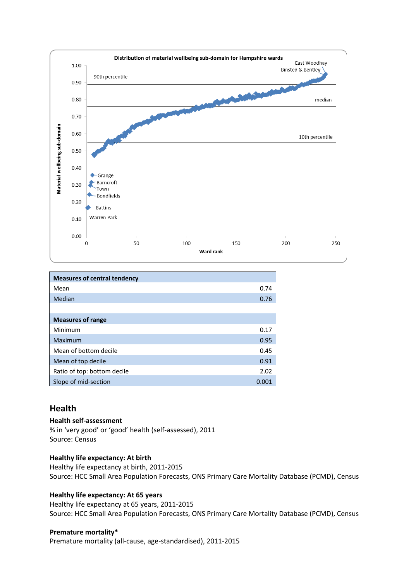

| <b>Measures of central tendency</b> |      |
|-------------------------------------|------|
| Mean                                | 0.74 |
| Median                              | 0.76 |
|                                     |      |
| <b>Measures of range</b>            |      |
| Minimum                             | 0.17 |
| Maximum                             | 0.95 |
| Mean of bottom decile               | 0.45 |
| Mean of top decile                  | 0.91 |
| Ratio of top: bottom decile         | 2.02 |
| Slope of mid-section                | 0.00 |

## **Health**

#### **Health self-assessment**

% in 'very good' or 'good' health (self-assessed), 2011 Source: Census

#### **Healthy life expectancy: At birth**

Healthy life expectancy at birth, 2011-2015 Source: HCC Small Area Population Forecasts, ONS Primary Care Mortality Database (PCMD), Census

#### **Healthy life expectancy: At 65 years**

Healthy life expectancy at 65 years, 2011-2015 Source: HCC Small Area Population Forecasts, ONS Primary Care Mortality Database (PCMD), Census

#### **Premature mortality\***

Premature mortality (all-cause, age-standardised), 2011-2015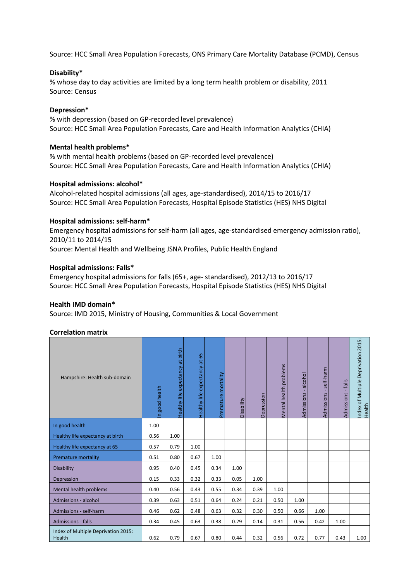Source: HCC Small Area Population Forecasts, ONS Primary Care Mortality Database (PCMD), Census

#### **Disability\***

% whose day to day activities are limited by a long term health problem or disability, 2011 Source: Census

#### **Depression\***

% with depression (based on GP-recorded level prevalence) Source: HCC Small Area Population Forecasts, Care and Health Information Analytics (CHIA)

#### **Mental health problems\***

% with mental health problems (based on GP-recorded level prevalence) Source: HCC Small Area Population Forecasts, Care and Health Information Analytics (CHIA)

#### **Hospital admissions: alcohol\***

Alcohol-related hospital admissions (all ages, age-standardised), 2014/15 to 2016/17 Source: HCC Small Area Population Forecasts, Hospital Episode Statistics (HES) NHS Digital

#### **Hospital admissions: self-harm\***

Emergency hospital admissions for self-harm (all ages, age-standardised emergency admission ratio), 2010/11 to 2014/15 Source: Mental Health and Wellbeing JSNA Profiles, Public Health England

#### **Hospital admissions: Falls\***

Emergency hospital admissions for falls (65+, age- standardised), 2012/13 to 2016/17 Source: HCC Small Area Population Forecasts, Hospital Episode Statistics (HES) NHS Digital

#### **Health IMD domain\***

Source: IMD 2015, Ministry of Housing, Communities & Local Government

| Hampshire: Health sub-domain                  | n good health | Healthy life expectancy at birth | Healthy life expectancy at 65 | Premature mortality | Disability | Depression | Mental health problems | alcohol<br>$\mathbf{r}$<br>Admissions | - self-harm<br>Admissions | Admissions - falls | Index of Multiple Deprivation 2015:<br>Health |
|-----------------------------------------------|---------------|----------------------------------|-------------------------------|---------------------|------------|------------|------------------------|---------------------------------------|---------------------------|--------------------|-----------------------------------------------|
| In good health                                | 1.00          |                                  |                               |                     |            |            |                        |                                       |                           |                    |                                               |
| Healthy life expectancy at birth              | 0.56          | 1.00                             |                               |                     |            |            |                        |                                       |                           |                    |                                               |
| Healthy life expectancy at 65                 | 0.57          | 0.79                             | 1.00                          |                     |            |            |                        |                                       |                           |                    |                                               |
| <b>Premature mortality</b>                    | 0.51          | 0.80                             | 0.67                          | 1.00                |            |            |                        |                                       |                           |                    |                                               |
| <b>Disability</b>                             | 0.95          | 0.40                             | 0.45                          | 0.34                | 1.00       |            |                        |                                       |                           |                    |                                               |
| Depression                                    | 0.15          | 0.33                             | 0.32                          | 0.33                | 0.05       | 1.00       |                        |                                       |                           |                    |                                               |
| Mental health problems                        | 0.40          | 0.56                             | 0.43                          | 0.55                | 0.34       | 0.39       | 1.00                   |                                       |                           |                    |                                               |
| Admissions - alcohol                          | 0.39          | 0.63                             | 0.51                          | 0.64                | 0.24       | 0.21       | 0.50                   | 1.00                                  |                           |                    |                                               |
| Admissions - self-harm                        | 0.46          | 0.62                             | 0.48                          | 0.63                | 0.32       | 0.30       | 0.50                   | 0.66                                  | 1.00                      |                    |                                               |
| <b>Admissions - falls</b>                     | 0.34          | 0.45                             | 0.63                          | 0.38                | 0.29       | 0.14       | 0.31                   | 0.56                                  | 0.42                      | 1.00               |                                               |
| Index of Multiple Deprivation 2015:<br>Health | 0.62          | 0.79                             | 0.67                          | 0.80                | 0.44       | 0.32       | 0.56                   | 0.72                                  | 0.77                      | 0.43               | 1.00                                          |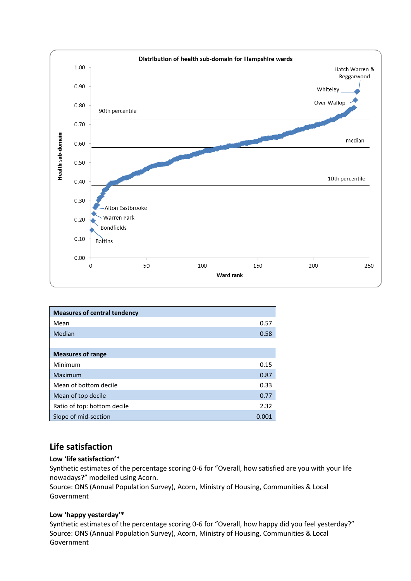

| <b>Measures of central tendency</b> |       |
|-------------------------------------|-------|
| Mean                                | 0.57  |
| Median                              | 0.58  |
|                                     |       |
| <b>Measures of range</b>            |       |
| Minimum                             | 0.15  |
| Maximum                             | 0.87  |
| Mean of bottom decile               | 0.33  |
| Mean of top decile                  | 0.77  |
| Ratio of top: bottom decile         | 2.32  |
| Slope of mid-section                | 0.001 |

## **Life satisfaction**

#### **Low 'life satisfaction'\***

Synthetic estimates of the percentage scoring 0-6 for "Overall, how satisfied are you with your life nowadays?" modelled using Acorn.

Source: ONS (Annual Population Survey), Acorn, Ministry of Housing, Communities & Local Government

#### **Low 'happy yesterday'\***

Synthetic estimates of the percentage scoring 0-6 for "Overall, how happy did you feel yesterday?" Source: ONS (Annual Population Survey), Acorn, Ministry of Housing, Communities & Local Government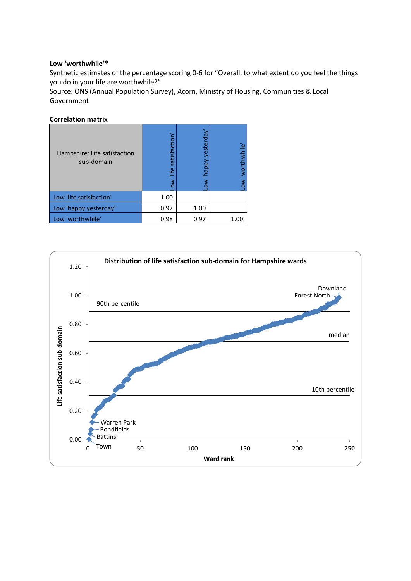#### **Low 'worthwhile'\***

Synthetic estimates of the percentage scoring 0-6 for "Overall, to what extent do you feel the things you do in your life are worthwhile?"

Source: ONS (Annual Population Survey), Acorn, Ministry of Housing, Communities & Local Government

| Hampshire: Life satisfaction<br>sub-domain | satisfaction<br>ow life | happy yesterday<br>ξ | w worthwhile |
|--------------------------------------------|-------------------------|----------------------|--------------|
| Low 'life satisfaction'                    | 1.00                    |                      |              |
| Low 'happy yesterday'                      | 0.97                    | 1.00                 |              |
| Low 'worthwhile'                           | 0.98                    | 0.97                 | 1.00         |

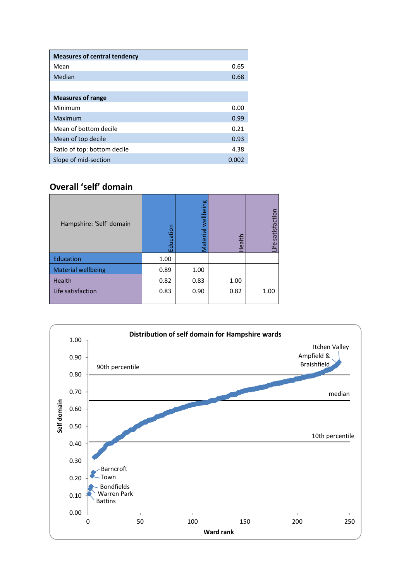| <b>Measures of central tendency</b> |      |
|-------------------------------------|------|
| Mean                                | 0.65 |
| Median                              | 0.68 |
|                                     |      |
| <b>Measures of range</b>            |      |
| Minimum                             | 0.00 |
| Maximum                             | 0.99 |
| Mean of bottom decile               | 0.21 |
| Mean of top decile                  | 0.93 |
| Ratio of top: bottom decile         | 4.38 |
| Slope of mid-section                | 0.00 |

## **Overall 'self' domain**

| Hampshire: 'Self' domain  | cation | Material wellbeing | Health | satisfaction<br>÷ |
|---------------------------|--------|--------------------|--------|-------------------|
| Education                 | 1.00   |                    |        |                   |
| <b>Material wellbeing</b> | 0.89   | 1.00               |        |                   |
| Health                    | 0.82   | 0.83               | 1.00   |                   |
| Life satisfaction         | 0.83   | 0.90               | 0.82   | 1.00              |

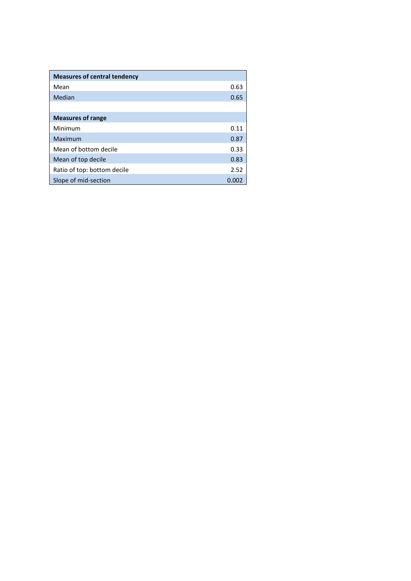| <b>Measures of central tendency</b> |       |
|-------------------------------------|-------|
| Mean                                | 0.63  |
| Median                              | 0.65  |
|                                     |       |
| <b>Measures of range</b>            |       |
| Minimum                             | 0.11  |
| Maximum                             | 0.87  |
| Mean of bottom decile               | 0.33  |
| Mean of top decile                  | 0.83  |
| Ratio of top: bottom decile         | 2.52  |
| Slope of mid-section                | 0.001 |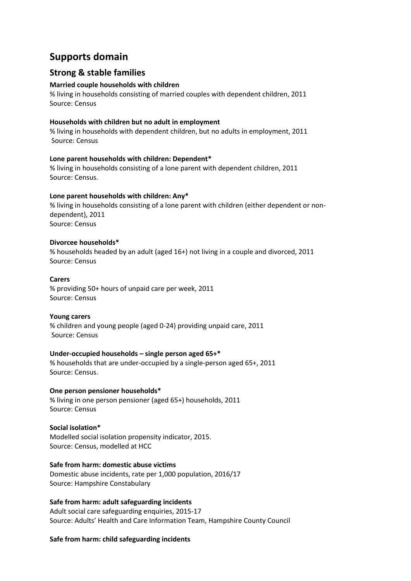## **Supports domain**

## **Strong & stable families**

#### **Married couple households with children**

% living in households consisting of married couples with dependent children, 2011 Source: Census

#### **Households with children but no adult in employment**

% living in households with dependent children, but no adults in employment, 2011 Source: Census

#### **Lone parent households with children: Dependent\***

% living in households consisting of a lone parent with dependent children, 2011 Source: Census.

#### **Lone parent households with children: Any\***

% living in households consisting of a lone parent with children (either dependent or nondependent), 2011 Source: Census

#### **Divorcee households\***

% households headed by an adult (aged 16+) not living in a couple and divorced, 2011 Source: Census

#### **Carers**

% providing 50+ hours of unpaid care per week, 2011 Source: Census

#### **Young carers**

% children and young people (aged 0-24) providing unpaid care, 2011 Source: Census

#### **Under-occupied households – single person aged 65+\***

% households that are under-occupied by a single-person aged 65+, 2011 Source: Census.

#### **One person pensioner households\***

% living in one person pensioner (aged 65+) households, 2011 Source: Census

#### **Social isolation\***

Modelled social isolation propensity indicator, 2015. Source: Census, modelled at HCC

#### **Safe from harm: domestic abuse victims**

Domestic abuse incidents, rate per 1,000 population, 2016/17 Source: Hampshire Constabulary

#### **Safe from harm: adult safeguarding incidents**

Adult social care safeguarding enquiries, 2015-17 Source: Adults' Health and Care Information Team, Hampshire County Council

#### **Safe from harm: child safeguarding incidents**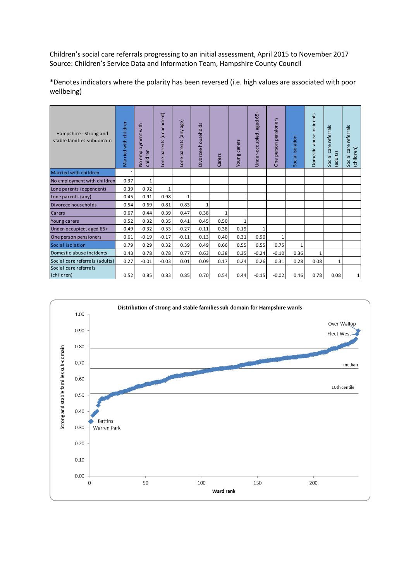Children's social care referrals progressing to an initial assessment, April 2015 to November 2017 Source: Children's Service Data and Information Team, Hampshire County Council

| Hampshire - Strong and<br>stable families subdomain | Married with children | employment with<br>children<br>$\overline{2}$ | parents (dependent)<br>Lone | Lone parents (any age) | Divorcee households | Carers       | carers<br>Young | 65+<br>Under-occupied, aged | pensioners<br>person<br><b>One</b> | ocial isolation<br>ū | abuse incidents<br>Domestic | referrals<br>Social care<br>(adults) | referrals<br>Social care<br>(children) |
|-----------------------------------------------------|-----------------------|-----------------------------------------------|-----------------------------|------------------------|---------------------|--------------|-----------------|-----------------------------|------------------------------------|----------------------|-----------------------------|--------------------------------------|----------------------------------------|
| Married with children                               | $\mathbf{1}$          |                                               |                             |                        |                     |              |                 |                             |                                    |                      |                             |                                      |                                        |
| No employment with children                         | 0.37                  | $\mathbf{1}$                                  |                             |                        |                     |              |                 |                             |                                    |                      |                             |                                      |                                        |
| Lone parents (dependent)                            | 0.39                  | 0.92                                          | $\mathbf{1}$                |                        |                     |              |                 |                             |                                    |                      |                             |                                      |                                        |
| Lone parents (any)                                  | 0.45                  | 0.91                                          | 0.98                        | $\mathbf{1}$           |                     |              |                 |                             |                                    |                      |                             |                                      |                                        |
| Divorcee households                                 | 0.54                  | 0.69                                          | 0.81                        | 0.83                   | 1                   |              |                 |                             |                                    |                      |                             |                                      |                                        |
| <b>Carers</b>                                       | 0.67                  | 0.44                                          | 0.39                        | 0.47                   | 0.38                | $\mathbf{1}$ |                 |                             |                                    |                      |                             |                                      |                                        |
| Young carers                                        | 0.52                  | 0.32                                          | 0.35                        | 0.41                   | 0.45                | 0.50         | 1               |                             |                                    |                      |                             |                                      |                                        |
| Under-occupied, aged 65+                            | 0.49                  | $-0.32$                                       | $-0.33$                     | $-0.27$                | $-0.11$             | 0.38         | 0.19            | $\mathbf{1}$                |                                    |                      |                             |                                      |                                        |
| One person pensioners                               | 0.61                  | $-0.19$                                       | $-0.17$                     | $-0.11$                | 0.13                | 0.40         | 0.31            | 0.90                        | $\mathbf{1}$                       |                      |                             |                                      |                                        |
| Social isolation                                    | 0.79                  | 0.29                                          | 0.32                        | 0.39                   | 0.49                | 0.66         | 0.55            | 0.55                        | 0.75                               | $\mathbf{1}$         |                             |                                      |                                        |
| Domestic abuse incidents                            | 0.43                  | 0.78                                          | 0.78                        | 0.77                   | 0.63                | 0.38         | 0.35            | $-0.24$                     | $-0.10$                            | 0.36                 | $\mathbf{1}$                |                                      |                                        |
| Social care referrals (adults)                      | 0.27                  | $-0.01$                                       | $-0.03$                     | 0.01                   | 0.09                | 0.17         | 0.24            | 0.26                        | 0.31                               | 0.28                 | 0.08                        | $\mathbf{1}$                         |                                        |
| Social care referrals<br>(children)                 | 0.52                  | 0.85                                          | 0.83                        | 0.85                   | 0.70                | 0.54         | 0.44            | $-0.15$                     | $-0.02$                            | 0.46                 | 0.78                        | 0.08                                 | 1                                      |
|                                                     |                       |                                               |                             |                        |                     |              |                 |                             |                                    |                      |                             |                                      |                                        |

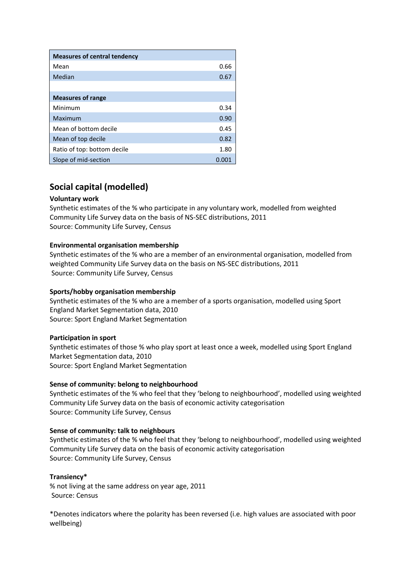| <b>Measures of central tendency</b> |       |
|-------------------------------------|-------|
| Mean                                | 0.66  |
| Median                              | 0.67  |
|                                     |       |
| <b>Measures of range</b>            |       |
| Minimum                             | 0.34  |
| Maximum                             | 0.90  |
| Mean of bottom decile               | 0.45  |
| Mean of top decile                  | 0.82  |
| Ratio of top: bottom decile         | 1.80  |
| Slope of mid-section                | 0.001 |

## **Social capital (modelled)**

#### **Voluntary work**

Synthetic estimates of the % who participate in any voluntary work, modelled from weighted Community Life Survey data on the basis of NS-SEC distributions, 2011 Source: Community Life Survey, Census

#### **Environmental organisation membership**

Synthetic estimates of the % who are a member of an environmental organisation, modelled from weighted Community Life Survey data on the basis on NS-SEC distributions, 2011 Source: Community Life Survey, Census

#### **Sports/hobby organisation membership**

Synthetic estimates of the % who are a member of a sports organisation, modelled using Sport England Market Segmentation data, 2010 Source: Sport England Market Segmentation

#### **Participation in sport**

Synthetic estimates of those % who play sport at least once a week, modelled using Sport England Market Segmentation data, 2010 Source: Sport England Market Segmentation

#### **Sense of community: belong to neighbourhood**

Synthetic estimates of the % who feel that they 'belong to neighbourhood', modelled using weighted Community Life Survey data on the basis of economic activity categorisation Source: Community Life Survey, Census

#### **Sense of community: talk to neighbours**

Synthetic estimates of the % who feel that they 'belong to neighbourhood', modelled using weighted Community Life Survey data on the basis of economic activity categorisation Source: Community Life Survey, Census

#### **Transiency\***

% not living at the same address on year age, 2011 Source: Census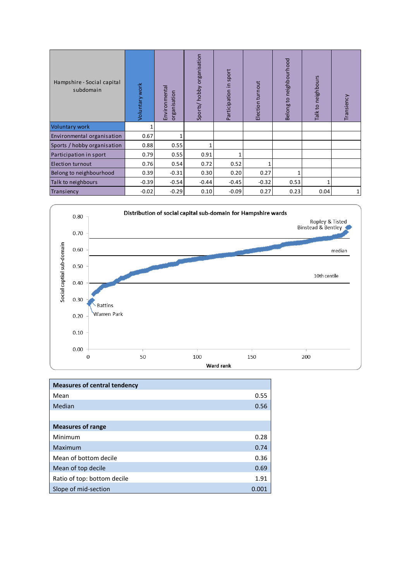| Hampshire - Social capital<br>subdomain | Voluntary work | Environmental<br>ganisation<br>$\overline{5}$ | Sports/hobby organisation | Participation in sport | Election turnout | neighbourhood<br>Belong to | Talk to neighbours | Transiency |
|-----------------------------------------|----------------|-----------------------------------------------|---------------------------|------------------------|------------------|----------------------------|--------------------|------------|
| <b>Voluntary work</b>                   |                |                                               |                           |                        |                  |                            |                    |            |
| Environmental organisation              | 0.67           |                                               |                           |                        |                  |                            |                    |            |
| Sports / hobby organisation             | 0.88           | 0.55                                          | 1                         |                        |                  |                            |                    |            |
| Participation in sport                  | 0.79           | 0.55                                          | 0.91                      |                        |                  |                            |                    |            |
| <b>Election turnout</b>                 | 0.76           | 0.54                                          | 0.72                      | 0.52                   | 1                |                            |                    |            |
| Belong to neighbourhood                 | 0.39           | $-0.31$                                       | 0.30                      | 0.20                   | 0.27             |                            |                    |            |
| Talk to neighbours                      | $-0.39$        | $-0.54$                                       | $-0.44$                   | $-0.45$                | $-0.32$          | 0.53                       |                    |            |
| Transiency                              | $-0.02$        | $-0.29$                                       | 0.10                      | $-0.09$                | 0.27             | 0.23                       | 0.04               | 1          |



| <b>Measures of central tendency</b> |       |
|-------------------------------------|-------|
| Mean                                | 0.55  |
| Median                              | 0.56  |
|                                     |       |
| <b>Measures of range</b>            |       |
| Minimum                             | 0.28  |
| Maximum                             | 0.74  |
| Mean of bottom decile               | 0.36  |
| Mean of top decile                  | 0.69  |
| Ratio of top: bottom decile         | 1.91  |
| Slope of mid-section                | 0.001 |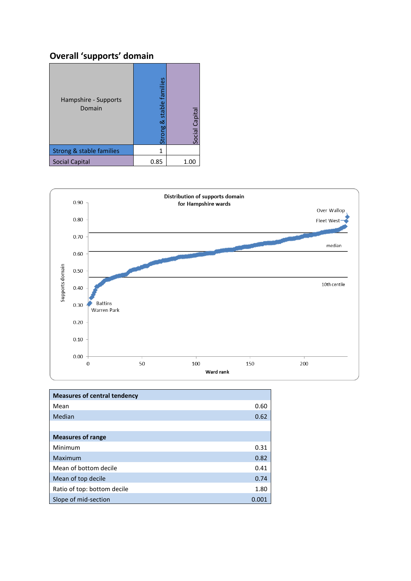# **Overall 'supports' domain**

| Hampshire - Supports<br>Domain | stable families<br>ळ<br>rong | Social Capita |
|--------------------------------|------------------------------|---------------|
| Strong & stable families       | 1                            |               |
| <b>Social Capital</b>          | 0.85                         | 1.00          |



| <b>Measures of central tendency</b> |       |
|-------------------------------------|-------|
| Mean                                | 0.60  |
| Median                              | 0.62  |
|                                     |       |
| <b>Measures of range</b>            |       |
| Minimum                             | 0.31  |
| Maximum                             | 0.82  |
| Mean of bottom decile               | 0.41  |
| Mean of top decile                  | 0.74  |
| Ratio of top: bottom decile         | 1.80  |
| Slope of mid-section                | 0.001 |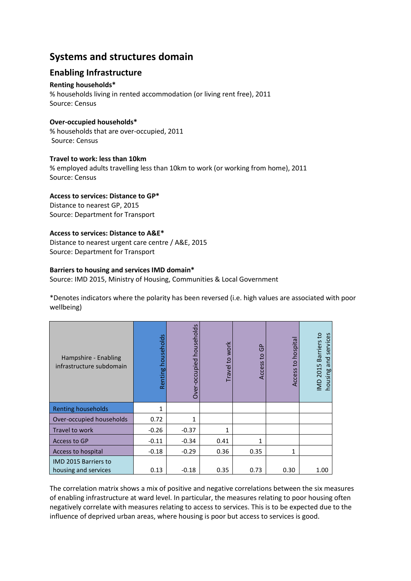## **Systems and structures domain**

## **Enabling Infrastructure**

#### **Renting households\***

% households living in rented accommodation (or living rent free), 2011 Source: Census

#### **Over-occupied households\***

% households that are over-occupied, 2011 Source: Census

#### **Travel to work: less than 10km**

% employed adults travelling less than 10km to work (or working from home), 2011 Source: Census

#### **Access to services: Distance to GP\***

Distance to nearest GP, 2015 Source: Department for Transport

#### **Access to services: Distance to A&E\***

Distance to nearest urgent care centre / A&E, 2015 Source: Department for Transport

#### **Barriers to housing and services IMD domain\***

Source: IMD 2015, Ministry of Housing, Communities & Local Government

\*Denotes indicators where the polarity has been reversed (i.e. high values are associated with poor wellbeing)

| Hampshire - Enabling<br>infrastructure subdomain    | households<br>Renting | Over-occupied households | Travel to work | $\sim$<br>O<br>$\overline{c}$<br>Access | to hospita<br>Access | Barriers to<br>services<br>pu<br><b>IMD 2015</b><br>housing a |
|-----------------------------------------------------|-----------------------|--------------------------|----------------|-----------------------------------------|----------------------|---------------------------------------------------------------|
| <b>Renting households</b>                           | $\mathbf{1}$          |                          |                |                                         |                      |                                                               |
| Over-occupied households                            | 0.72                  | 1                        |                |                                         |                      |                                                               |
| Travel to work                                      | $-0.26$               | $-0.37$                  | 1              |                                         |                      |                                                               |
| Access to GP                                        | $-0.11$               | $-0.34$                  | 0.41           | 1                                       |                      |                                                               |
| Access to hospital                                  | $-0.18$               | $-0.29$                  | 0.36           | 0.35                                    | 1                    |                                                               |
| <b>IMD 2015 Barriers to</b><br>housing and services | 0.13                  | $-0.18$                  | 0.35           | 0.73                                    | 0.30                 | 1.00                                                          |

The correlation matrix shows a mix of positive and negative correlations between the six measures of enabling infrastructure at ward level. In particular, the measures relating to poor housing often negatively correlate with measures relating to access to services. This is to be expected due to the influence of deprived urban areas, where housing is poor but access to services is good.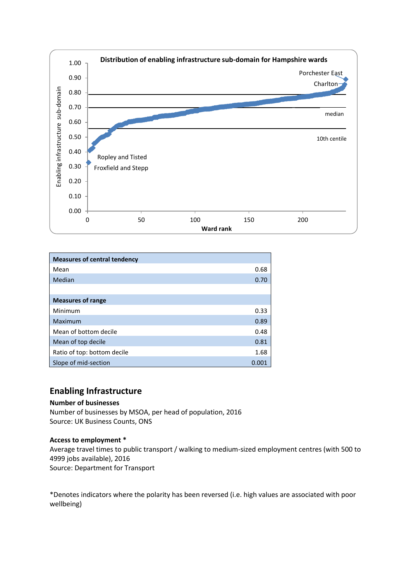

| <b>Measures of central tendency</b> |       |
|-------------------------------------|-------|
| Mean                                | 0.68  |
| Median                              | 0.70  |
|                                     |       |
| <b>Measures of range</b>            |       |
| Minimum                             | 0.33  |
| Maximum                             | 0.89  |
| Mean of bottom decile               | 0.48  |
| Mean of top decile                  | 0.81  |
| Ratio of top: bottom decile         | 1.68  |
| Slope of mid-section                | 0.001 |

### **Enabling Infrastructure**

#### **Number of businesses**

Number of businesses by MSOA, per head of population, 2016 Source: UK Business Counts, ONS

#### **Access to employment \***

Average travel times to public transport / walking to medium-sized employment centres (with 500 to 4999 jobs available), 2016 Source: Department for Transport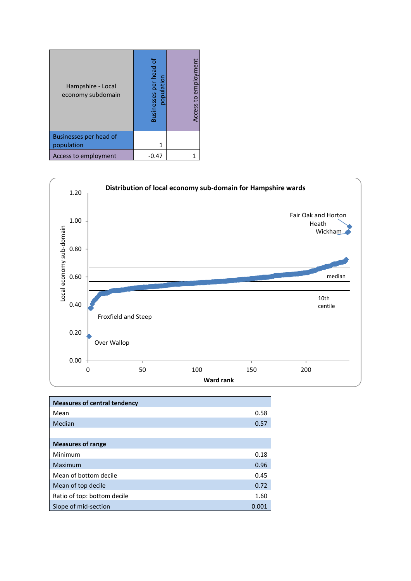| Hampshire - Local<br>economy subdomain      | 'ठ<br>Businesses per head<br>population | Access to employment |
|---------------------------------------------|-----------------------------------------|----------------------|
| <b>Businesses per head of</b><br>population |                                         |                      |
| Access to employment                        | -0.47                                   |                      |



| <b>Measures of central tendency</b> |       |
|-------------------------------------|-------|
| Mean                                | 0.58  |
| Median                              | 0.57  |
|                                     |       |
| <b>Measures of range</b>            |       |
| Minimum                             | 0.18  |
| Maximum                             | 0.96  |
| Mean of bottom decile               | 0.45  |
| Mean of top decile                  | 0.72  |
| Ratio of top: bottom decile         | 1.60  |
| Slope of mid-section                | 0.001 |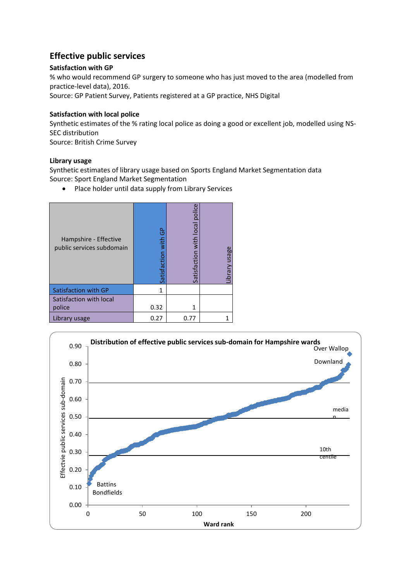## **Effective public services**

#### **Satisfaction with GP**

% who would recommend GP surgery to someone who has just moved to the area (modelled from practice-level data), 2016. Source: GP Patient Survey, Patients registered at a GP practice, NHS Digital

#### **Satisfaction with local police**

Synthetic estimates of the % rating local police as doing a good or excellent job, modelled using NS-SEC distribution Source: British Crime Survey

#### **Library usage**

Synthetic estimates of library usage based on Sports England Market Segmentation data Source: Sport England Market Segmentation

• Place holder until data supply from Library Services

| Hampshire - Effective<br>public services subdomain | င်္င<br>Satisfaction with | police<br>Satisfaction with local | ibrary usage |
|----------------------------------------------------|---------------------------|-----------------------------------|--------------|
| Satisfaction with GP                               | 1                         |                                   |              |
| Satisfaction with local                            |                           |                                   |              |
| police                                             | 0.32                      | 1                                 |              |
| Library usage                                      | 0.27                      | 0.77                              |              |

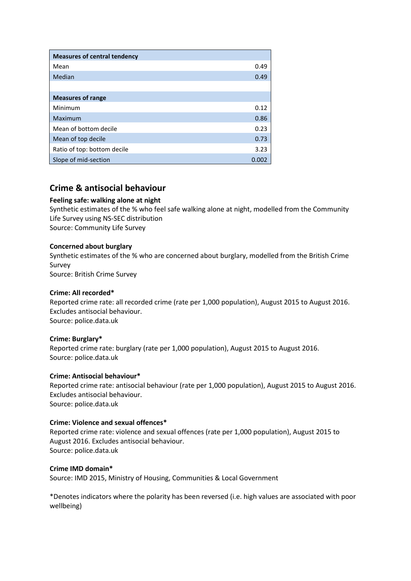| <b>Measures of central tendency</b> |      |
|-------------------------------------|------|
| Mean                                | 0.49 |
| Median                              | 0.49 |
|                                     |      |
| <b>Measures of range</b>            |      |
| Minimum                             | 0.12 |
| Maximum                             | 0.86 |
| Mean of bottom decile               | 0.23 |
| Mean of top decile                  | 0.73 |
| Ratio of top: bottom decile         | 3.23 |
| Slope of mid-section                | 0.00 |

## **Crime & antisocial behaviour**

#### **Feeling safe: walking alone at night**

Synthetic estimates of the % who feel safe walking alone at night, modelled from the Community Life Survey using NS-SEC distribution Source: Community Life Survey

#### **Concerned about burglary**

Synthetic estimates of the % who are concerned about burglary, modelled from the British Crime Survey Source: British Crime Survey

#### **Crime: All recorded\***

Reported crime rate: all recorded crime (rate per 1,000 population), August 2015 to August 2016. Excludes antisocial behaviour. Source: police.data.uk

#### **Crime: Burglary\***

Reported crime rate: burglary (rate per 1,000 population), August 2015 to August 2016. Source: police.data.uk

#### **Crime: Antisocial behaviour\***

Reported crime rate: antisocial behaviour (rate per 1,000 population), August 2015 to August 2016. Excludes antisocial behaviour. Source: police.data.uk

#### **Crime: Violence and sexual offences\***

Reported crime rate: violence and sexual offences (rate per 1,000 population), August 2015 to August 2016. Excludes antisocial behaviour. Source: police.data.uk

#### **Crime IMD domain\***

Source: IMD 2015, Ministry of Housing, Communities & Local Government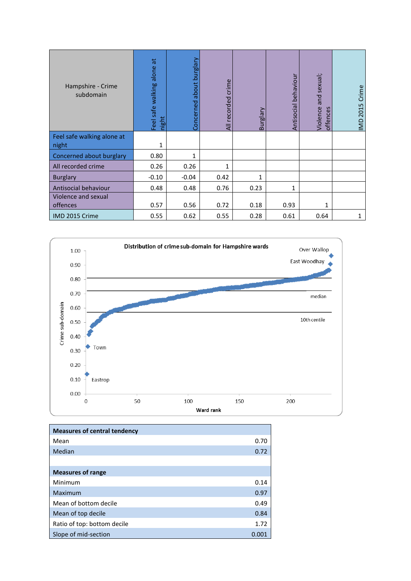| Hampshire - Crime<br>subdomain      | $\vec{a}$<br>Feel safe walking alone<br>night | about burglary<br>Concerned | All recorded crime | Vielain<br>മ | Antisocial behaviour | and sexual;<br><b>Jiolence</b><br>ces<br>c<br>offer | IMD 2015 Crime |
|-------------------------------------|-----------------------------------------------|-----------------------------|--------------------|--------------|----------------------|-----------------------------------------------------|----------------|
| Feel safe walking alone at<br>night | 1                                             |                             |                    |              |                      |                                                     |                |
| Concerned about burglary            | 0.80                                          | 1                           |                    |              |                      |                                                     |                |
| All recorded crime                  | 0.26                                          | 0.26                        | 1                  |              |                      |                                                     |                |
| <b>Burglary</b>                     | $-0.10$                                       | $-0.04$                     | 0.42               | $\mathbf{1}$ |                      |                                                     |                |
| Antisocial behaviour                | 0.48                                          | 0.48                        | 0.76               | 0.23         | 1                    |                                                     |                |
| Violence and sexual<br>offences     | 0.57                                          | 0.56                        | 0.72               | 0.18         | 0.93                 | 1                                                   |                |
| IMD 2015 Crime                      | 0.55                                          | 0.62                        | 0.55               | 0.28         | 0.61                 | 0.64                                                | 1              |



| <b>Measures of central tendency</b> |       |
|-------------------------------------|-------|
| Mean                                | 0.70  |
| Median                              | 0.72  |
|                                     |       |
| <b>Measures of range</b>            |       |
| Minimum                             | 0.14  |
| Maximum                             | 0.97  |
| Mean of bottom decile               | 0.49  |
| Mean of top decile                  | 0.84  |
| Ratio of top: bottom decile         | 1.72  |
| Slope of mid-section                | 0.001 |